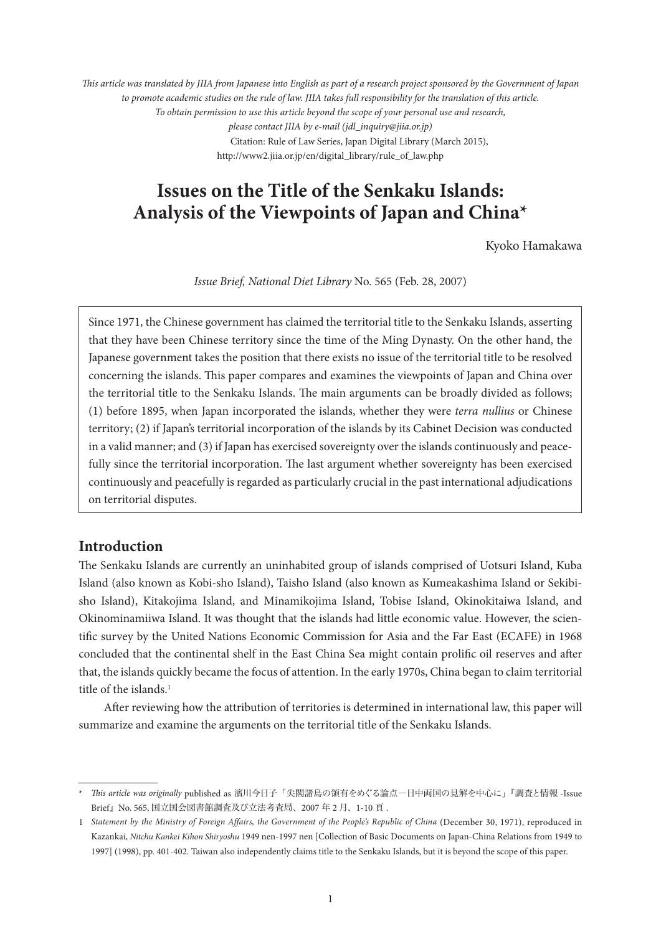*This article was translated by JIIA from Japanese into English as part of a research project sponsored by the Government of Japan to promote academic studies on the rule of law. JIIA takes full responsibility for the translation of this article. To obtain permission to use this article beyond the scope of your personal use and research, please contact JIIA by e-mail (jdl\_inquiry@jiia.or.jp)* Citation: Rule of Law Series, Japan Digital Library (March 2015), http://www2.jiia.or.jp/en/digital\_library/rule\_of\_law.php

# **Issues on the Title of the Senkaku Islands: Analysis of the Viewpoints of Japan and China\***

Kyoko Hamakawa

*Issue Brief, National Diet Library* No. 565 (Feb. 28, 2007)

Since 1971, the Chinese government has claimed the territorial title to the Senkaku Islands, asserting that they have been Chinese territory since the time of the Ming Dynasty. On the other hand, the Japanese government takes the position that there exists no issue of the territorial title to be resolved concerning the islands. This paper compares and examines the viewpoints of Japan and China over the territorial title to the Senkaku Islands. The main arguments can be broadly divided as follows; (1) before 1895, when Japan incorporated the islands, whether they were *terra nullius* or Chinese territory; (2) if Japan's territorial incorporation of the islands by its Cabinet Decision was conducted in a valid manner; and (3) if Japan has exercised sovereignty over the islands continuously and peacefully since the territorial incorporation. The last argument whether sovereignty has been exercised continuously and peacefully is regarded as particularly crucial in the past international adjudications on territorial disputes.

# **Introduction**

The Senkaku Islands are currently an uninhabited group of islands comprised of Uotsuri Island, Kuba Island (also known as Kobi-sho Island), Taisho Island (also known as Kumeakashima Island or Sekibisho Island), Kitakojima Island, and Minamikojima Island, Tobise Island, Okinokitaiwa Island, and Okinominamiiwa Island. It was thought that the islands had little economic value. However, the scientific survey by the United Nations Economic Commission for Asia and the Far East (ECAFE) in 1968 concluded that the continental shelf in the East China Sea might contain prolific oil reserves and after that, the islands quickly became the focus of attention. In the early 1970s, China began to claim territorial title of the islands.<sup>1</sup>

After reviewing how the attribution of territories is determined in international law, this paper will summarize and examine the arguments on the territorial title of the Senkaku Islands.

<sup>\*</sup> *This article was originally* published as 濱川今日子「尖閣諸島の領有をめぐる論点―日中両国の見解を中心に」『調査と情報 -Issue Brief』No. 565, 国立国会図書館調査及び立法考査局、2007 年 2 月、1-10 頁 .

<sup>1</sup> *Statement by the Ministry of Foreign Affairs, the Government of the People's Republic of China* (December 30, 1971), reproduced in Kazankai, *Nitchu Kankei Kihon Shiryoshu* 1949 nen-1997 nen [Collection of Basic Documents on Japan-China Relations from 1949 to 1997] (1998), pp. 401-402. Taiwan also independently claims title to the Senkaku Islands, but it is beyond the scope of this paper.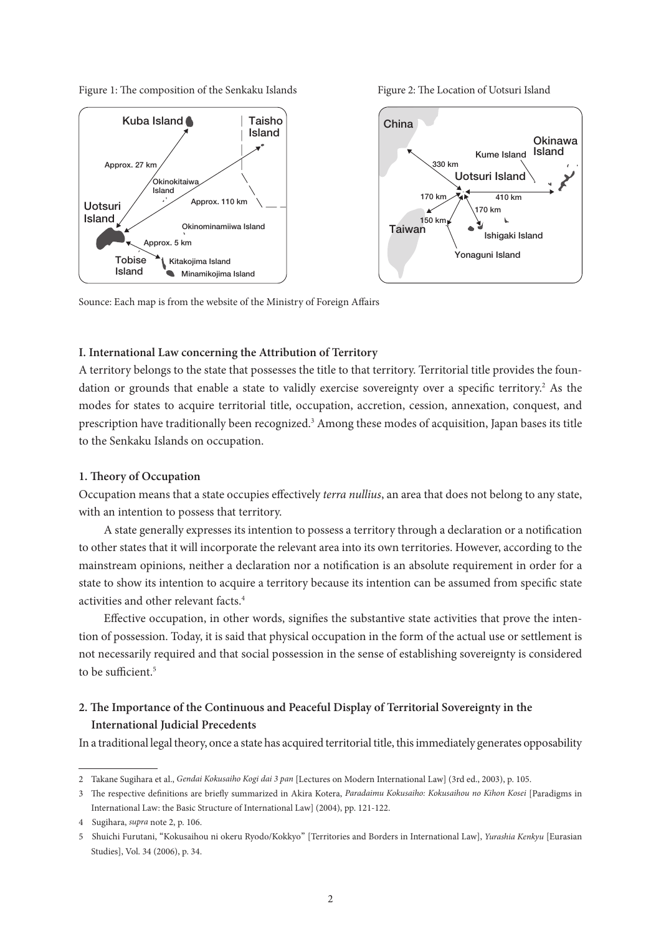Figure 1: The composition of the Senkaku Islands Figure 2: The Location of Uotsuri Island



Sounce: Each map is from the website of the Ministry of Foreign Affairs

## **I. International Law concerning the Attribution of Territory**

A territory belongs to the state that possesses the title to that territory. Territorial title provides the foundation or grounds that enable a state to validly exercise sovereignty over a specific territory.<sup>2</sup> As the modes for states to acquire territorial title, occupation, accretion, cession, annexation, conquest, and prescription have traditionally been recognized.<sup>3</sup> Among these modes of acquisition, Japan bases its title to the Senkaku Islands on occupation.

#### **1. Theory of Occupation**

Occupation means that a state occupies effectively *terra nullius*, an area that does not belong to any state, with an intention to possess that territory.

A state generally expresses its intention to possess a territory through a declaration or a notification to other states that it will incorporate the relevant area into its own territories. However, according to the mainstream opinions, neither a declaration nor a notification is an absolute requirement in order for a state to show its intention to acquire a territory because its intention can be assumed from specific state activities and other relevant facts.<sup>4</sup>

Effective occupation, in other words, signifies the substantive state activities that prove the intention of possession. Today, it is said that physical occupation in the form of the actual use or settlement is not necessarily required and that social possession in the sense of establishing sovereignty is considered to be sufficient.<sup>5</sup>

# **2. The Importance of the Continuous and Peaceful Display of Territorial Sovereignty in the International Judicial Precedents**

In a traditional legal theory, once a state has acquired territorial title, this immediately generates opposability

<sup>2</sup> Takane Sugihara et al., *Gendai Kokusaiho Kogi dai 3 pan* [Lectures on Modern International Law] (3rd ed., 2003), p. 105.

<sup>3</sup> The respective definitions are briefly summarized in Akira Kotera, *Paradaimu Kokusaiho: Kokusaihou no Kihon Kosei* [Paradigms in International Law: the Basic Structure of International Law] (2004), pp. 121-122.

<sup>4</sup> Sugihara, *supra* note 2, p. 106.

<sup>5</sup> Shuichi Furutani, "Kokusaihou ni okeru Ryodo/Kokkyo" [Territories and Borders in International Law], *Yurashia Kenkyu* [Eurasian Studies], Vol. 34 (2006), p. 34.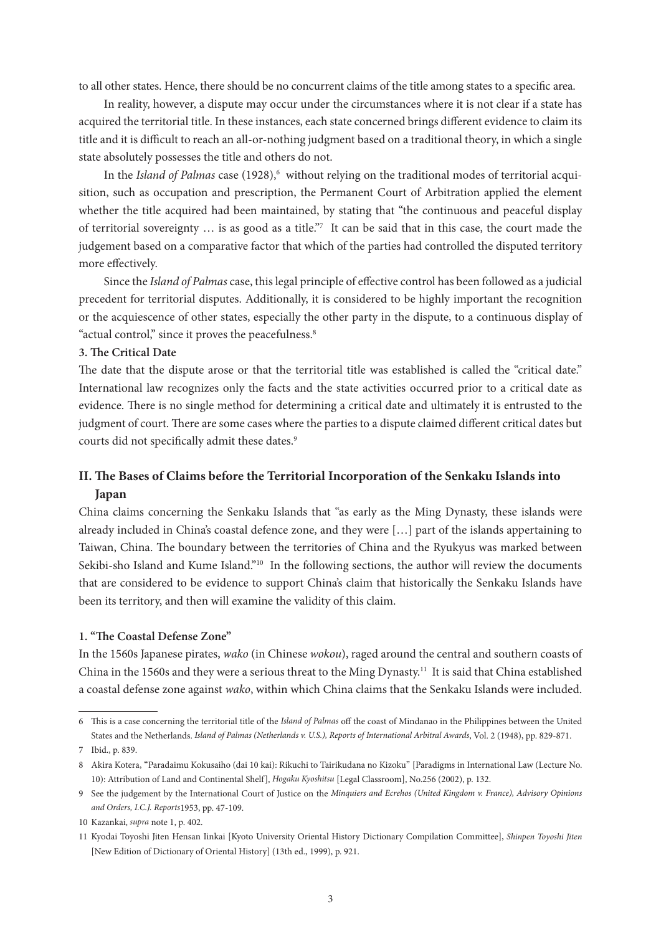to all other states. Hence, there should be no concurrent claims of the title among states to a specific area.

In reality, however, a dispute may occur under the circumstances where it is not clear if a state has acquired the territorial title. In these instances, each state concerned brings different evidence to claim its title and it is difficult to reach an all-or-nothing judgment based on a traditional theory, in which a single state absolutely possesses the title and others do not.

In the *Island of Palmas* case (1928),<sup>6</sup> without relying on the traditional modes of territorial acquisition, such as occupation and prescription, the Permanent Court of Arbitration applied the element whether the title acquired had been maintained, by stating that "the continuous and peaceful display of territorial sovereignty … is as good as a title."7 It can be said that in this case, the court made the judgement based on a comparative factor that which of the parties had controlled the disputed territory more effectively.

Since the *Island of Palmas* case, this legal principle of effective control has been followed as a judicial precedent for territorial disputes. Additionally, it is considered to be highly important the recognition or the acquiescence of other states, especially the other party in the dispute, to a continuous display of "actual control," since it proves the peacefulness.<sup>8</sup>

## **3. The Critical Date**

The date that the dispute arose or that the territorial title was established is called the "critical date." International law recognizes only the facts and the state activities occurred prior to a critical date as evidence. There is no single method for determining a critical date and ultimately it is entrusted to the judgment of court. There are some cases where the parties to a dispute claimed different critical dates but courts did not specifically admit these dates.<sup>9</sup>

# **II. The Bases of Claims before the Territorial Incorporation of the Senkaku Islands into Japan**

China claims concerning the Senkaku Islands that "as early as the Ming Dynasty, these islands were already included in China's coastal defence zone, and they were […] part of the islands appertaining to Taiwan, China. The boundary between the territories of China and the Ryukyus was marked between Sekibi-sho Island and Kume Island."<sup>10</sup> In the following sections, the author will review the documents that are considered to be evidence to support China's claim that historically the Senkaku Islands have been its territory, and then will examine the validity of this claim.

## **1. "The Coastal Defense Zone"**

In the 1560s Japanese pirates, *wako* (in Chinese *wokou*), raged around the central and southern coasts of China in the 1560s and they were a serious threat to the Ming Dynasty.11 It is said that China established a coastal defense zone against *wako*, within which China claims that the Senkaku Islands were included.

<sup>6</sup> This is a case concerning the territorial title of the *Island of Palmas* off the coast of Mindanao in the Philippines between the United States and the Netherlands. *Island of Palmas (Netherlands v. U.S.), Reports of International Arbitral Awards*, Vol. 2 (1948), pp. 829-871.

<sup>7</sup> Ibid., p. 839.

<sup>8</sup> Akira Kotera, "Paradaimu Kokusaiho (dai 10 kai): Rikuchi to Tairikudana no Kizoku" [Paradigms in International Law (Lecture No. 10): Attribution of Land and Continental Shelf], *Hogaku Kyoshitsu* [Legal Classroom], No.256 (2002), p. 132.

<sup>9</sup> See the judgement by the International Court of Justice on the *Minquiers and Ecrehos (United Kingdom v. France), Advisory Opinions and Orders, I.C.J. Reports*1953, pp. 47-109.

<sup>10</sup> Kazankai, *supra* note 1, p. 402.

<sup>11</sup> Kyodai Toyoshi Jiten Hensan Iinkai [Kyoto University Oriental History Dictionary Compilation Committee], *Shinpen Toyoshi Jiten* [New Edition of Dictionary of Oriental History] (13th ed., 1999), p. 921.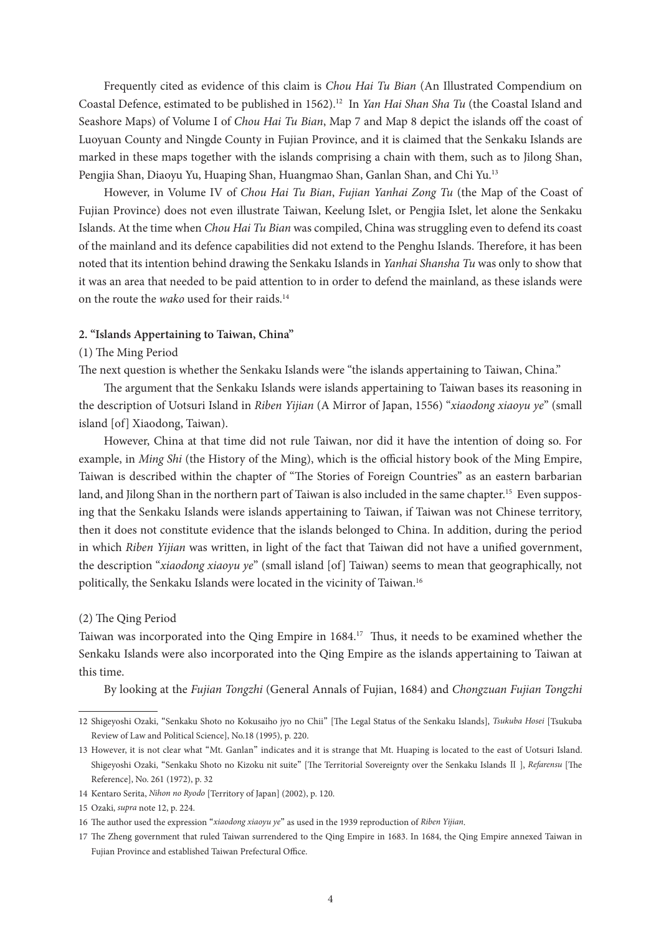Frequently cited as evidence of this claim is *Chou Hai Tu Bian* (An Illustrated Compendium on Coastal Defence, estimated to be published in 1562).12 In *Yan Hai Shan Sha Tu* (the Coastal Island and Seashore Maps) of Volume I of *Chou Hai Tu Bian*, Map 7 and Map 8 depict the islands off the coast of Luoyuan County and Ningde County in Fujian Province, and it is claimed that the Senkaku Islands are marked in these maps together with the islands comprising a chain with them, such as to Jilong Shan, Pengjia Shan, Diaoyu Yu, Huaping Shan, Huangmao Shan, Ganlan Shan, and Chi Yu.13

However, in Volume IV of *Chou Hai Tu Bian*, *Fujian Yanhai Zong Tu* (the Map of the Coast of Fujian Province) does not even illustrate Taiwan, Keelung Islet, or Pengjia Islet, let alone the Senkaku Islands. At the time when *Chou Hai Tu Bian* was compiled, China was struggling even to defend its coast of the mainland and its defence capabilities did not extend to the Penghu Islands. Therefore, it has been noted that its intention behind drawing the Senkaku Islands in *Yanhai Shansha Tu* was only to show that it was an area that needed to be paid attention to in order to defend the mainland, as these islands were on the route the *wako* used for their raids.14

#### **2. "Islands Appertaining to Taiwan, China"**

## (1) The Ming Period

The next question is whether the Senkaku Islands were "the islands appertaining to Taiwan, China."

The argument that the Senkaku Islands were islands appertaining to Taiwan bases its reasoning in the description of Uotsuri Island in *Riben Yijian* (A Mirror of Japan, 1556) "*xiaodong xiaoyu ye*" (small island [of] Xiaodong, Taiwan).

However, China at that time did not rule Taiwan, nor did it have the intention of doing so. For example, in *Ming Shi* (the History of the Ming), which is the official history book of the Ming Empire, Taiwan is described within the chapter of "The Stories of Foreign Countries" as an eastern barbarian land, and Jilong Shan in the northern part of Taiwan is also included in the same chapter.<sup>15</sup> Even supposing that the Senkaku Islands were islands appertaining to Taiwan, if Taiwan was not Chinese territory, then it does not constitute evidence that the islands belonged to China. In addition, during the period in which *Riben Yijian* was written, in light of the fact that Taiwan did not have a unified government, the description "*xiaodong xiaoyu ye*" (small island [of] Taiwan) seems to mean that geographically, not politically, the Senkaku Islands were located in the vicinity of Taiwan.<sup>16</sup>

#### (2) The Qing Period

Taiwan was incorporated into the Qing Empire in 1684.17 Thus, it needs to be examined whether the Senkaku Islands were also incorporated into the Qing Empire as the islands appertaining to Taiwan at this time.

By looking at the *Fujian Tongzhi* (General Annals of Fujian, 1684) and *Chongzuan Fujian Tongzhi*

<sup>12</sup> Shigeyoshi Ozaki, "Senkaku Shoto no Kokusaiho jyo no Chii" [The Legal Status of the Senkaku Islands], *Tsukuba Hosei* [Tsukuba Review of Law and Political Science], No.18 (1995), p. 220.

<sup>13</sup> However, it is not clear what "Mt. Ganlan" indicates and it is strange that Mt. Huaping is located to the east of Uotsuri Island. Shigeyoshi Ozaki, "Senkaku Shoto no Kizoku nit suite" [The Territorial Sovereignty over the Senkaku Islands Ⅱ ], *Refarensu* [The Reference], No. 261 (1972), p. 32

<sup>14</sup> Kentaro Serita, *Nihon no Ryodo* [Territory of Japan] (2002), p. 120.

<sup>15</sup> Ozaki, *supra* note 12, p. 224.

<sup>16</sup> The author used the expression "*xiaodong xiaoyu ye*" as used in the 1939 reproduction of *Riben Yijian*.

<sup>17</sup> The Zheng government that ruled Taiwan surrendered to the Qing Empire in 1683. In 1684, the Qing Empire annexed Taiwan in Fujian Province and established Taiwan Prefectural Office.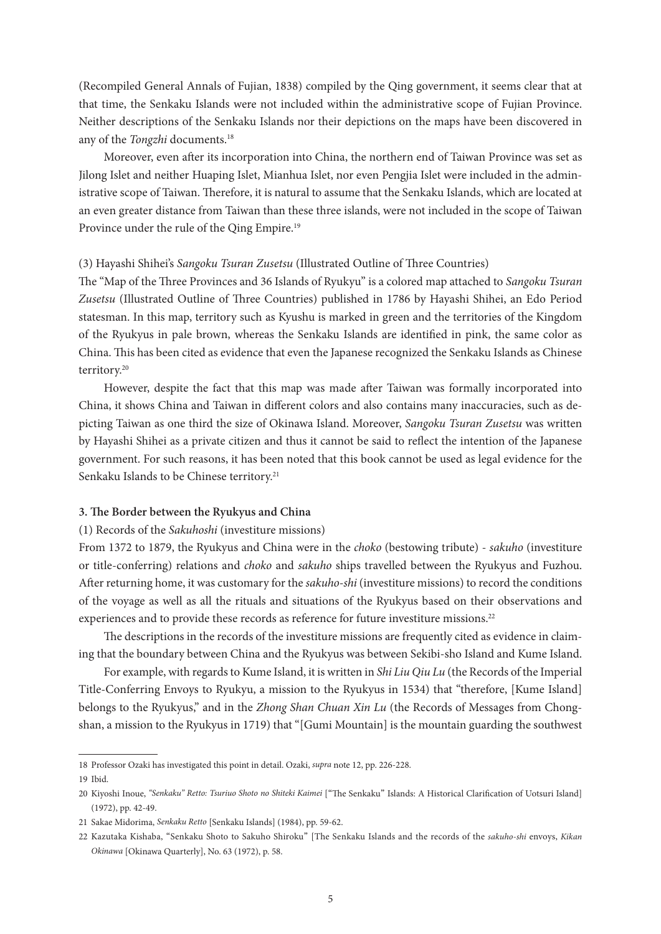(Recompiled General Annals of Fujian, 1838) compiled by the Qing government, it seems clear that at that time, the Senkaku Islands were not included within the administrative scope of Fujian Province. Neither descriptions of the Senkaku Islands nor their depictions on the maps have been discovered in any of the *Tongzhi* documents.<sup>18</sup>

Moreover, even after its incorporation into China, the northern end of Taiwan Province was set as Jilong Islet and neither Huaping Islet, Mianhua Islet, nor even Pengjia Islet were included in the administrative scope of Taiwan. Therefore, it is natural to assume that the Senkaku Islands, which are located at an even greater distance from Taiwan than these three islands, were not included in the scope of Taiwan Province under the rule of the Qing Empire.<sup>19</sup>

## (3) Hayashi Shihei's *Sangoku Tsuran Zusetsu* (Illustrated Outline of Three Countries)

The "Map of the Three Provinces and 36 Islands of Ryukyu" is a colored map attached to *Sangoku Tsuran Zusetsu* (Illustrated Outline of Three Countries) published in 1786 by Hayashi Shihei, an Edo Period statesman. In this map, territory such as Kyushu is marked in green and the territories of the Kingdom of the Ryukyus in pale brown, whereas the Senkaku Islands are identified in pink, the same color as China. This has been cited as evidence that even the Japanese recognized the Senkaku Islands as Chinese territory.20

However, despite the fact that this map was made after Taiwan was formally incorporated into China, it shows China and Taiwan in different colors and also contains many inaccuracies, such as depicting Taiwan as one third the size of Okinawa Island. Moreover, *Sangoku Tsuran Zusetsu* was written by Hayashi Shihei as a private citizen and thus it cannot be said to reflect the intention of the Japanese government. For such reasons, it has been noted that this book cannot be used as legal evidence for the Senkaku Islands to be Chinese territory.<sup>21</sup>

#### **3. The Border between the Ryukyus and China**

#### (1) Records of the *Sakuhoshi* (investiture missions)

From 1372 to 1879, the Ryukyus and China were in the *choko* (bestowing tribute) - *sakuho* (investiture or title-conferring) relations and *choko* and *sakuho* ships travelled between the Ryukyus and Fuzhou. After returning home, it was customary for the *sakuho-shi* (investiture missions) to record the conditions of the voyage as well as all the rituals and situations of the Ryukyus based on their observations and experiences and to provide these records as reference for future investiture missions.<sup>22</sup>

The descriptions in the records of the investiture missions are frequently cited as evidence in claiming that the boundary between China and the Ryukyus was between Sekibi-sho Island and Kume Island.

For example, with regards to Kume Island, it is written in *Shi Liu Qiu Lu* (the Records of the Imperial Title-Conferring Envoys to Ryukyu, a mission to the Ryukyus in 1534) that "therefore, [Kume Island] belongs to the Ryukyus," and in the *Zhong Shan Chuan Xin Lu* (the Records of Messages from Chongshan, a mission to the Ryukyus in 1719) that "[Gumi Mountain] is the mountain guarding the southwest

<sup>18</sup> Professor Ozaki has investigated this point in detail. Ozaki, *supra* note 12, pp. 226-228.

<sup>19</sup> Ibid.

<sup>20</sup> Kiyoshi Inoue, "Senkaku" Retto: Tsuriuo Shoto no Shiteki Kaimei ["The Senkaku" Islands: A Historical Clarification of Uotsuri Island] (1972), pp. 42-49.

<sup>21</sup> Sakae Midorima, *Senkaku Retto* [Senkaku Islands] (1984), pp. 59-62.

<sup>22</sup> Kazutaka Kishaba, "Senkaku Shoto to Sakuho Shiroku" [The Senkaku Islands and the records of the *sakuho-shi* envoys, *Kikan Okinawa* [Okinawa Quarterly], No. 63 (1972), p. 58.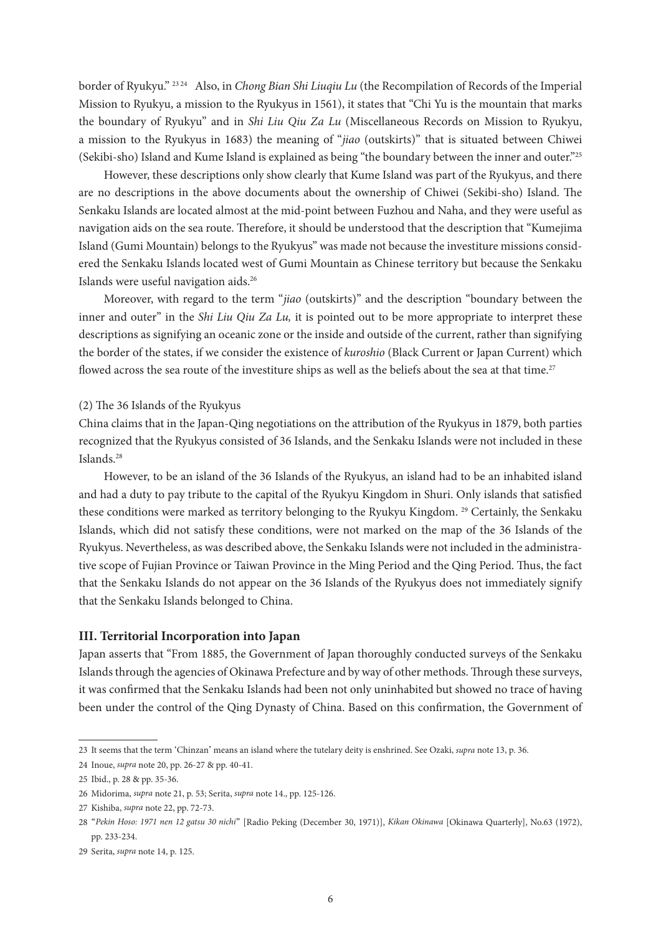border of Ryukyu." 23 24 Also, in *Chong Bian Shi Liuqiu Lu* (the Recompilation of Records of the Imperial Mission to Ryukyu, a mission to the Ryukyus in 1561), it states that "Chi Yu is the mountain that marks the boundary of Ryukyu" and in *Shi Liu Qiu Za Lu* (Miscellaneous Records on Mission to Ryukyu, a mission to the Ryukyus in 1683) the meaning of "*jiao* (outskirts)" that is situated between Chiwei (Sekibi-sho) Island and Kume Island is explained as being "the boundary between the inner and outer."25

However, these descriptions only show clearly that Kume Island was part of the Ryukyus, and there are no descriptions in the above documents about the ownership of Chiwei (Sekibi-sho) Island. The Senkaku Islands are located almost at the mid-point between Fuzhou and Naha, and they were useful as navigation aids on the sea route. Therefore, it should be understood that the description that "Kumejima Island (Gumi Mountain) belongs to the Ryukyus" was made not because the investiture missions considered the Senkaku Islands located west of Gumi Mountain as Chinese territory but because the Senkaku Islands were useful navigation aids.26

Moreover, with regard to the term "*jiao* (outskirts)" and the description "boundary between the inner and outer" in the *Shi Liu Qiu Za Lu,* it is pointed out to be more appropriate to interpret these descriptions as signifying an oceanic zone or the inside and outside of the current, rather than signifying the border of the states, if we consider the existence of *kuroshio* (Black Current or Japan Current) which flowed across the sea route of the investiture ships as well as the beliefs about the sea at that time.<sup>27</sup>

## (2) The 36 Islands of the Ryukyus

China claims that in the Japan-Qing negotiations on the attribution of the Ryukyus in 1879, both parties recognized that the Ryukyus consisted of 36 Islands, and the Senkaku Islands were not included in these Islands.28

However, to be an island of the 36 Islands of the Ryukyus, an island had to be an inhabited island and had a duty to pay tribute to the capital of the Ryukyu Kingdom in Shuri. Only islands that satisfied these conditions were marked as territory belonging to the Ryukyu Kingdom.<sup>29</sup> Certainly, the Senkaku Islands, which did not satisfy these conditions, were not marked on the map of the 36 Islands of the Ryukyus. Nevertheless, as was described above, the Senkaku Islands were not included in the administrative scope of Fujian Province or Taiwan Province in the Ming Period and the Qing Period. Thus, the fact that the Senkaku Islands do not appear on the 36 Islands of the Ryukyus does not immediately signify that the Senkaku Islands belonged to China.

## **III. Territorial Incorporation into Japan**

Japan asserts that "From 1885, the Government of Japan thoroughly conducted surveys of the Senkaku Islands through the agencies of Okinawa Prefecture and by way of other methods. Through these surveys, it was confirmed that the Senkaku Islands had been not only uninhabited but showed no trace of having been under the control of the Qing Dynasty of China. Based on this confirmation, the Government of

<sup>23</sup> It seems that the term ʻChinzan' means an island where the tutelary deity is enshrined. See Ozaki, *supra* note 13, p. 36.

<sup>24</sup> Inoue, *supra* note 20, pp. 26-27 & pp. 40-41.

<sup>25</sup> Ibid., p. 28 & pp. 35-36.

<sup>26</sup> Midorima, *supra* note 21, p. 53; Serita, *supra* note 14., pp. 125-126.

<sup>27</sup> Kishiba, *supra* note 22, pp. 72-73.

<sup>28</sup> "*Pekin Hoso: 1971 nen 12 gatsu 30 nichi*" [Radio Peking (December 30, 1971)], *Kikan Okinawa* [Okinawa Quarterly], No.63 (1972), pp. 233-234.

<sup>29</sup> Serita, *supra* note 14, p. 125.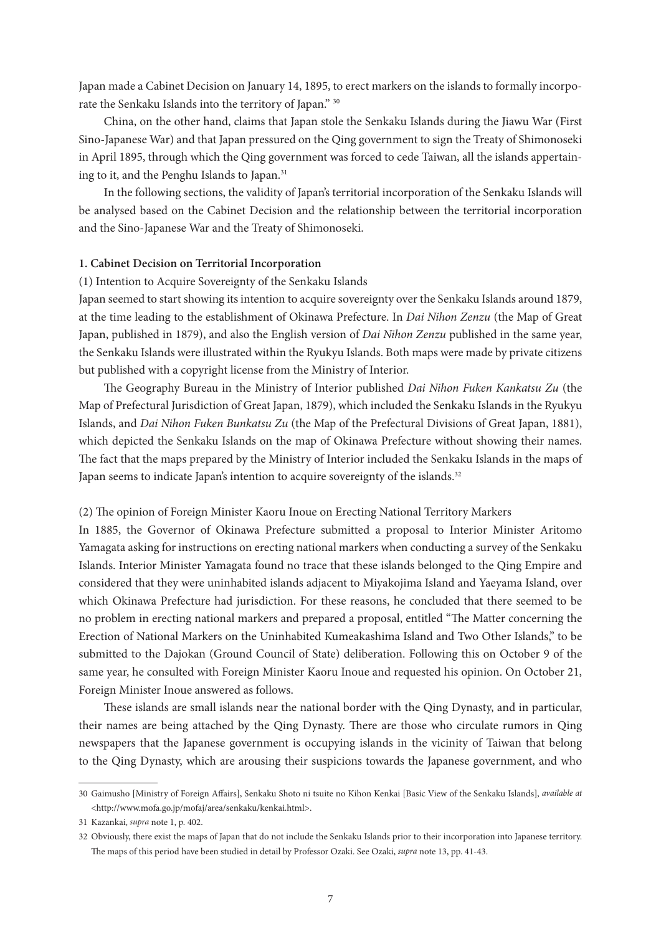Japan made a Cabinet Decision on January 14, 1895, to erect markers on the islands to formally incorporate the Senkaku Islands into the territory of Japan." 30

China, on the other hand, claims that Japan stole the Senkaku Islands during the Jiawu War (First Sino-Japanese War) and that Japan pressured on the Qing government to sign the Treaty of Shimonoseki in April 1895, through which the Qing government was forced to cede Taiwan, all the islands appertaining to it, and the Penghu Islands to Japan.<sup>31</sup>

In the following sections, the validity of Japan's territorial incorporation of the Senkaku Islands will be analysed based on the Cabinet Decision and the relationship between the territorial incorporation and the Sino-Japanese War and the Treaty of Shimonoseki.

## **1. Cabinet Decision on Territorial Incorporation**

(1) Intention to Acquire Sovereignty of the Senkaku Islands

Japan seemed to start showing its intention to acquire sovereignty over the Senkaku Islands around 1879, at the time leading to the establishment of Okinawa Prefecture. In *Dai Nihon Zenzu* (the Map of Great Japan, published in 1879), and also the English version of *Dai Nihon Zenzu* published in the same year, the Senkaku Islands were illustrated within the Ryukyu Islands. Both maps were made by private citizens but published with a copyright license from the Ministry of Interior.

The Geography Bureau in the Ministry of Interior published *Dai Nihon Fuken Kankatsu Zu* (the Map of Prefectural Jurisdiction of Great Japan, 1879), which included the Senkaku Islands in the Ryukyu Islands, and *Dai Nihon Fuken Bunkatsu Zu* (the Map of the Prefectural Divisions of Great Japan, 1881), which depicted the Senkaku Islands on the map of Okinawa Prefecture without showing their names. The fact that the maps prepared by the Ministry of Interior included the Senkaku Islands in the maps of Japan seems to indicate Japan's intention to acquire sovereignty of the islands.<sup>32</sup>

#### (2) The opinion of Foreign Minister Kaoru Inoue on Erecting National Territory Markers

In 1885, the Governor of Okinawa Prefecture submitted a proposal to Interior Minister Aritomo Yamagata asking for instructions on erecting national markers when conducting a survey of the Senkaku Islands. Interior Minister Yamagata found no trace that these islands belonged to the Qing Empire and considered that they were uninhabited islands adjacent to Miyakojima Island and Yaeyama Island, over which Okinawa Prefecture had jurisdiction. For these reasons, he concluded that there seemed to be no problem in erecting national markers and prepared a proposal, entitled "The Matter concerning the Erection of National Markers on the Uninhabited Kumeakashima Island and Two Other Islands," to be submitted to the Dajokan (Ground Council of State) deliberation. Following this on October 9 of the same year, he consulted with Foreign Minister Kaoru Inoue and requested his opinion. On October 21, Foreign Minister Inoue answered as follows.

These islands are small islands near the national border with the Qing Dynasty, and in particular, their names are being attached by the Qing Dynasty. There are those who circulate rumors in Qing newspapers that the Japanese government is occupying islands in the vicinity of Taiwan that belong to the Qing Dynasty, which are arousing their suspicions towards the Japanese government, and who

<sup>30</sup> Gaimusho [Ministry of Foreign Affairs], Senkaku Shoto ni tsuite no Kihon Kenkai [Basic View of the Senkaku Islands], *available at*  <http://www.mofa.go.jp/mofaj/area/senkaku/kenkai.html>.

<sup>31</sup> Kazankai, *supra* note 1, p. 402.

<sup>32</sup> Obviously, there exist the maps of Japan that do not include the Senkaku Islands prior to their incorporation into Japanese territory. The maps of this period have been studied in detail by Professor Ozaki. See Ozaki, *supra* note 13, pp. 41-43.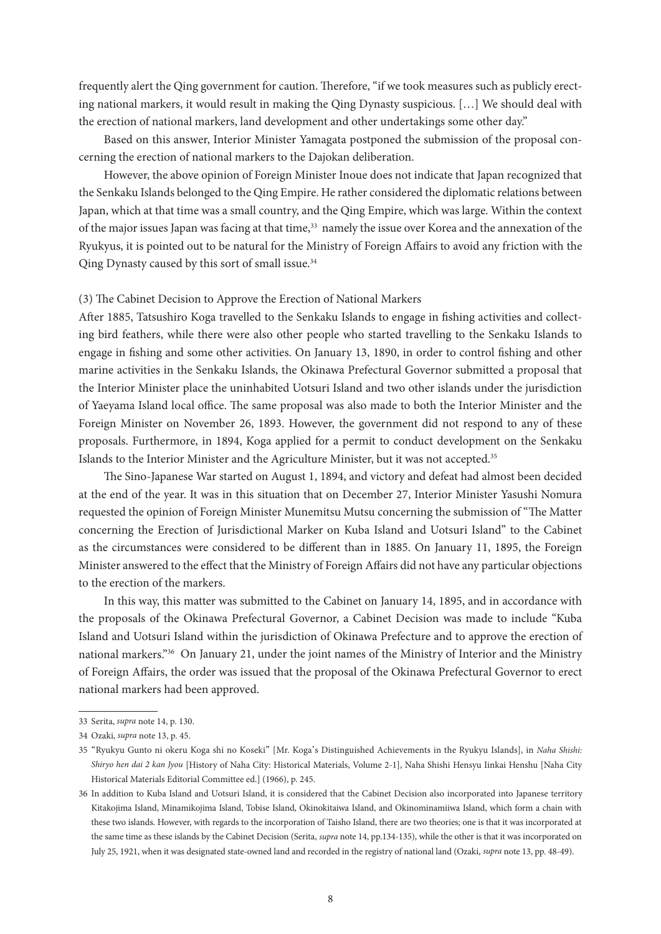frequently alert the Qing government for caution. Therefore, "if we took measures such as publicly erecting national markers, it would result in making the Qing Dynasty suspicious. […] We should deal with the erection of national markers, land development and other undertakings some other day."

Based on this answer, Interior Minister Yamagata postponed the submission of the proposal concerning the erection of national markers to the Dajokan deliberation.

However, the above opinion of Foreign Minister Inoue does not indicate that Japan recognized that the Senkaku Islands belonged to the Qing Empire. He rather considered the diplomatic relations between Japan, which at that time was a small country, and the Qing Empire, which was large. Within the context of the major issues Japan was facing at that time,<sup>33</sup> namely the issue over Korea and the annexation of the Ryukyus, it is pointed out to be natural for the Ministry of Foreign Affairs to avoid any friction with the Qing Dynasty caused by this sort of small issue.<sup>34</sup>

## (3) The Cabinet Decision to Approve the Erection of National Markers

After 1885, Tatsushiro Koga travelled to the Senkaku Islands to engage in fishing activities and collecting bird feathers, while there were also other people who started travelling to the Senkaku Islands to engage in fishing and some other activities. On January 13, 1890, in order to control fishing and other marine activities in the Senkaku Islands, the Okinawa Prefectural Governor submitted a proposal that the Interior Minister place the uninhabited Uotsuri Island and two other islands under the jurisdiction of Yaeyama Island local office. The same proposal was also made to both the Interior Minister and the Foreign Minister on November 26, 1893. However, the government did not respond to any of these proposals. Furthermore, in 1894, Koga applied for a permit to conduct development on the Senkaku Islands to the Interior Minister and the Agriculture Minister, but it was not accepted.35

The Sino-Japanese War started on August 1, 1894, and victory and defeat had almost been decided at the end of the year. It was in this situation that on December 27, Interior Minister Yasushi Nomura requested the opinion of Foreign Minister Munemitsu Mutsu concerning the submission of "The Matter concerning the Erection of Jurisdictional Marker on Kuba Island and Uotsuri Island" to the Cabinet as the circumstances were considered to be different than in 1885. On January 11, 1895, the Foreign Minister answered to the effect that the Ministry of Foreign Affairs did not have any particular objections to the erection of the markers.

In this way, this matter was submitted to the Cabinet on January 14, 1895, and in accordance with the proposals of the Okinawa Prefectural Governor, a Cabinet Decision was made to include "Kuba Island and Uotsuri Island within the jurisdiction of Okinawa Prefecture and to approve the erection of national markers."36 On January 21, under the joint names of the Ministry of Interior and the Ministry of Foreign Affairs, the order was issued that the proposal of the Okinawa Prefectural Governor to erect national markers had been approved.

<sup>33</sup> Serita, *supra* note 14, p. 130.

<sup>34</sup> Ozaki, *supra* note 13, p. 45.

<sup>35</sup> "Ryukyu Gunto ni okeru Koga shi no Koseki" [Mr. Koga's Distinguished Achievements in the Ryukyu Islands], in *Naha Shishi: Shiryo hen dai 2 kan Jyou* [History of Naha City: Historical Materials, Volume 2-1], Naha Shishi Hensyu Iinkai Henshu [Naha City Historical Materials Editorial Committee ed.] (1966), p. 245.

<sup>36</sup> In addition to Kuba Island and Uotsuri Island, it is considered that the Cabinet Decision also incorporated into Japanese territory Kitakojima Island, Minamikojima Island, Tobise Island, Okinokitaiwa Island, and Okinominamiiwa Island, which form a chain with these two islands. However, with regards to the incorporation of Taisho Island, there are two theories; one is that it was incorporated at the same time as these islands by the Cabinet Decision (Serita, *supra* note 14, pp.134-135), while the other is that it was incorporated on July 25, 1921, when it was designated state-owned land and recorded in the registry of national land (Ozaki, *supra* note 13, pp. 48-49).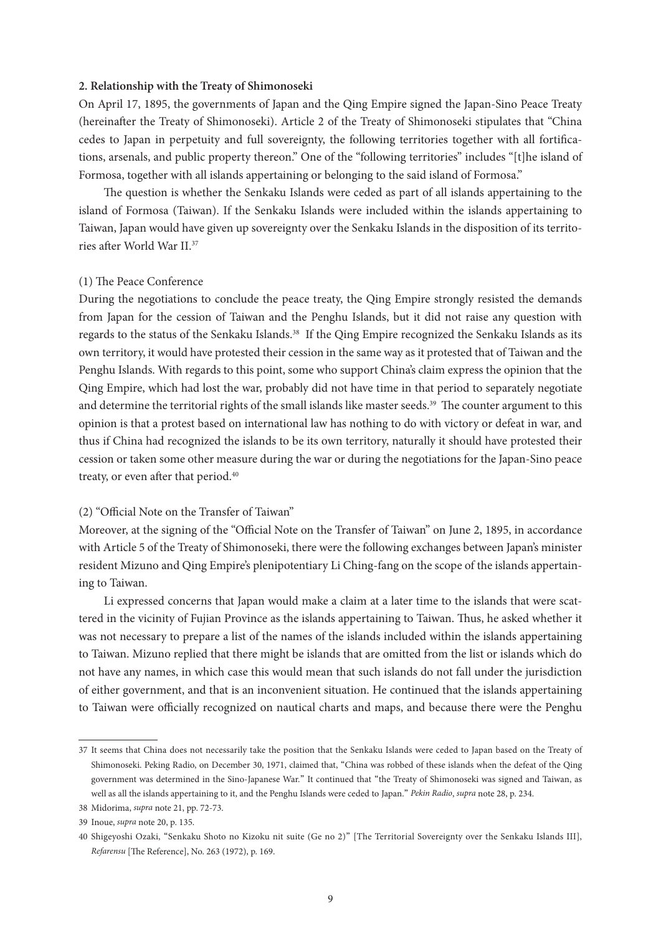## **2. Relationship with the Treaty of Shimonoseki**

On April 17, 1895, the governments of Japan and the Qing Empire signed the Japan-Sino Peace Treaty (hereinafter the Treaty of Shimonoseki). Article 2 of the Treaty of Shimonoseki stipulates that "China cedes to Japan in perpetuity and full sovereignty, the following territories together with all fortifications, arsenals, and public property thereon." One of the "following territories" includes "[t]he island of Formosa, together with all islands appertaining or belonging to the said island of Formosa."

The question is whether the Senkaku Islands were ceded as part of all islands appertaining to the island of Formosa (Taiwan). If the Senkaku Islands were included within the islands appertaining to Taiwan, Japan would have given up sovereignty over the Senkaku Islands in the disposition of its territories after World War II.37

#### (1) The Peace Conference

During the negotiations to conclude the peace treaty, the Qing Empire strongly resisted the demands from Japan for the cession of Taiwan and the Penghu Islands, but it did not raise any question with regards to the status of the Senkaku Islands.<sup>38</sup> If the Qing Empire recognized the Senkaku Islands as its own territory, it would have protested their cession in the same way as it protested that of Taiwan and the Penghu Islands. With regards to this point, some who support China's claim express the opinion that the Qing Empire, which had lost the war, probably did not have time in that period to separately negotiate and determine the territorial rights of the small islands like master seeds.<sup>39</sup> The counter argument to this opinion is that a protest based on international law has nothing to do with victory or defeat in war, and thus if China had recognized the islands to be its own territory, naturally it should have protested their cession or taken some other measure during the war or during the negotiations for the Japan-Sino peace treaty, or even after that period.<sup>40</sup>

## (2) "Official Note on the Transfer of Taiwan"

Moreover, at the signing of the "Official Note on the Transfer of Taiwan" on June 2, 1895, in accordance with Article 5 of the Treaty of Shimonoseki, there were the following exchanges between Japan's minister resident Mizuno and Qing Empire's plenipotentiary Li Ching-fang on the scope of the islands appertaining to Taiwan.

Li expressed concerns that Japan would make a claim at a later time to the islands that were scattered in the vicinity of Fujian Province as the islands appertaining to Taiwan. Thus, he asked whether it was not necessary to prepare a list of the names of the islands included within the islands appertaining to Taiwan. Mizuno replied that there might be islands that are omitted from the list or islands which do not have any names, in which case this would mean that such islands do not fall under the jurisdiction of either government, and that is an inconvenient situation. He continued that the islands appertaining to Taiwan were officially recognized on nautical charts and maps, and because there were the Penghu

<sup>37</sup> It seems that China does not necessarily take the position that the Senkaku Islands were ceded to Japan based on the Treaty of Shimonoseki. Peking Radio, on December 30, 1971, claimed that, "China was robbed of these islands when the defeat of the Qing government was determined in the Sino-Japanese War." It continued that "the Treaty of Shimonoseki was signed and Taiwan, as well as all the islands appertaining to it, and the Penghu Islands were ceded to Japan." *Pekin Radio*, *supra* note 28, p. 234.

<sup>38</sup> Midorima, *supra* note 21, pp. 72-73.

<sup>39</sup> Inoue, *supra* note 20, p. 135.

<sup>40</sup> Shigeyoshi Ozaki, "Senkaku Shoto no Kizoku nit suite (Ge no 2)" [The Territorial Sovereignty over the Senkaku Islands III], *Refarensu* [The Reference], No. 263 (1972), p. 169.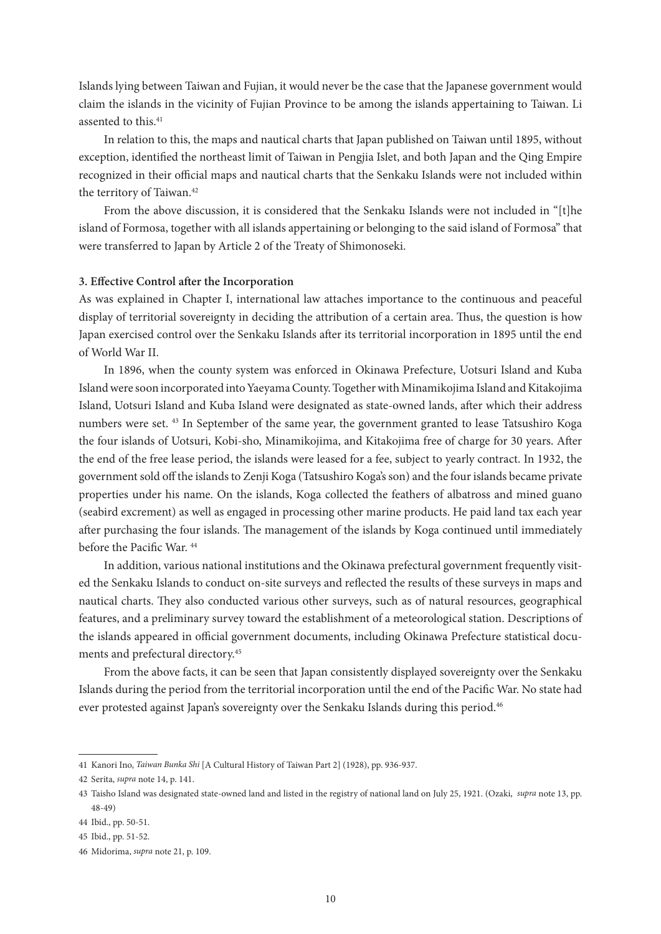Islands lying between Taiwan and Fujian, it would never be the case that the Japanese government would claim the islands in the vicinity of Fujian Province to be among the islands appertaining to Taiwan. Li assented to this.<sup>41</sup>

In relation to this, the maps and nautical charts that Japan published on Taiwan until 1895, without exception, identified the northeast limit of Taiwan in Pengjia Islet, and both Japan and the Qing Empire recognized in their official maps and nautical charts that the Senkaku Islands were not included within the territory of Taiwan.<sup>42</sup>

From the above discussion, it is considered that the Senkaku Islands were not included in "[t]he island of Formosa, together with all islands appertaining or belonging to the said island of Formosa" that were transferred to Japan by Article 2 of the Treaty of Shimonoseki.

## **3. Effective Control after the Incorporation**

As was explained in Chapter I, international law attaches importance to the continuous and peaceful display of territorial sovereignty in deciding the attribution of a certain area. Thus, the question is how Japan exercised control over the Senkaku Islands after its territorial incorporation in 1895 until the end of World War II.

In 1896, when the county system was enforced in Okinawa Prefecture, Uotsuri Island and Kuba Island were soon incorporated into Yaeyama County. Together with Minamikojima Island and Kitakojima Island, Uotsuri Island and Kuba Island were designated as state-owned lands, after which their address numbers were set. 43 In September of the same year, the government granted to lease Tatsushiro Koga the four islands of Uotsuri, Kobi-sho, Minamikojima, and Kitakojima free of charge for 30 years. After the end of the free lease period, the islands were leased for a fee, subject to yearly contract. In 1932, the government sold off the islands to Zenji Koga (Tatsushiro Koga's son) and the four islands became private properties under his name. On the islands, Koga collected the feathers of albatross and mined guano (seabird excrement) as well as engaged in processing other marine products. He paid land tax each year after purchasing the four islands. The management of the islands by Koga continued until immediately before the Pacific War. 44

In addition, various national institutions and the Okinawa prefectural government frequently visited the Senkaku Islands to conduct on-site surveys and reflected the results of these surveys in maps and nautical charts. They also conducted various other surveys, such as of natural resources, geographical features, and a preliminary survey toward the establishment of a meteorological station. Descriptions of the islands appeared in official government documents, including Okinawa Prefecture statistical documents and prefectural directory.45

From the above facts, it can be seen that Japan consistently displayed sovereignty over the Senkaku Islands during the period from the territorial incorporation until the end of the Pacific War. No state had ever protested against Japan's sovereignty over the Senkaku Islands during this period.<sup>46</sup>

<sup>41</sup> Kanori Ino, *Taiwan Bunka Shi* [A Cultural History of Taiwan Part 2] (1928), pp. 936-937.

<sup>42</sup> Serita, *supra* note 14, p. 141.

<sup>43</sup> Taisho Island was designated state-owned land and listed in the registry of national land on July 25, 1921. (Ozaki, *supra* note 13, pp. 48-49)

<sup>44</sup> Ibid., pp. 50-51.

<sup>45</sup> Ibid., pp. 51-52.

<sup>46</sup> Midorima, *supra* note 21, p. 109.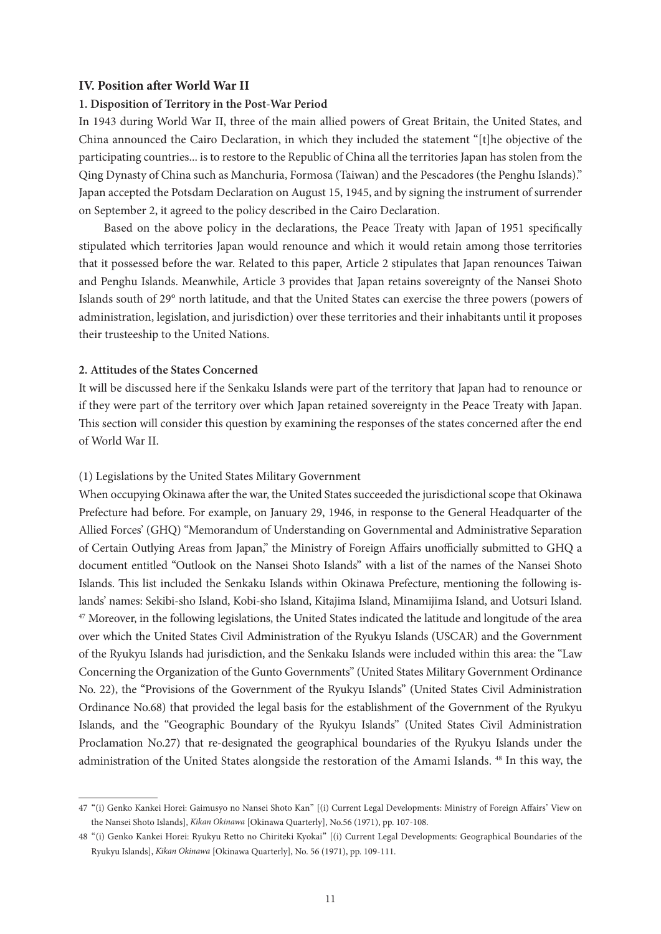## **IV. Position after World War II**

## **1. Disposition of Territory in the Post-War Period**

In 1943 during World War II, three of the main allied powers of Great Britain, the United States, and China announced the Cairo Declaration, in which they included the statement "[t]he objective of the participating countries... is to restore to the Republic of China all the territories Japan has stolen from the Qing Dynasty of China such as Manchuria, Formosa (Taiwan) and the Pescadores (the Penghu Islands)." Japan accepted the Potsdam Declaration on August 15, 1945, and by signing the instrument of surrender on September 2, it agreed to the policy described in the Cairo Declaration.

Based on the above policy in the declarations, the Peace Treaty with Japan of 1951 specifically stipulated which territories Japan would renounce and which it would retain among those territories that it possessed before the war. Related to this paper, Article 2 stipulates that Japan renounces Taiwan and Penghu Islands. Meanwhile, Article 3 provides that Japan retains sovereignty of the Nansei Shoto Islands south of 29° north latitude, and that the United States can exercise the three powers (powers of administration, legislation, and jurisdiction) over these territories and their inhabitants until it proposes their trusteeship to the United Nations.

#### **2. Attitudes of the States Concerned**

It will be discussed here if the Senkaku Islands were part of the territory that Japan had to renounce or if they were part of the territory over which Japan retained sovereignty in the Peace Treaty with Japan. This section will consider this question by examining the responses of the states concerned after the end of World War II.

#### (1) Legislations by the United States Military Government

When occupying Okinawa after the war, the United States succeeded the jurisdictional scope that Okinawa Prefecture had before. For example, on January 29, 1946, in response to the General Headquarter of the Allied Forces' (GHQ) "Memorandum of Understanding on Governmental and Administrative Separation of Certain Outlying Areas from Japan," the Ministry of Foreign Affairs unofficially submitted to GHQ a document entitled "Outlook on the Nansei Shoto Islands" with a list of the names of the Nansei Shoto Islands. This list included the Senkaku Islands within Okinawa Prefecture, mentioning the following islands' names: Sekibi-sho Island, Kobi-sho Island, Kitajima Island, Minamijima Island, and Uotsuri Island. 47 Moreover, in the following legislations, the United States indicated the latitude and longitude of the area over which the United States Civil Administration of the Ryukyu Islands (USCAR) and the Government of the Ryukyu Islands had jurisdiction, and the Senkaku Islands were included within this area: the "Law Concerning the Organization of the Gunto Governments" (United States Military Government Ordinance No. 22), the "Provisions of the Government of the Ryukyu Islands" (United States Civil Administration Ordinance No.68) that provided the legal basis for the establishment of the Government of the Ryukyu Islands, and the "Geographic Boundary of the Ryukyu Islands" (United States Civil Administration Proclamation No.27) that re-designated the geographical boundaries of the Ryukyu Islands under the administration of the United States alongside the restoration of the Amami Islands. 48 In this way, the

<sup>47</sup> "(i) Genko Kankei Horei: Gaimusyo no Nansei Shoto Kan" [(i) Current Legal Developments: Ministry of Foreign Affairs' View on the Nansei Shoto Islands], *Kikan Okinawa* [Okinawa Quarterly], No.56 (1971), pp. 107-108.

<sup>48</sup> "(i) Genko Kankei Horei: Ryukyu Retto no Chiriteki Kyokai" [(i) Current Legal Developments: Geographical Boundaries of the Ryukyu Islands], *Kikan Okinawa* [Okinawa Quarterly], No. 56 (1971), pp. 109-111.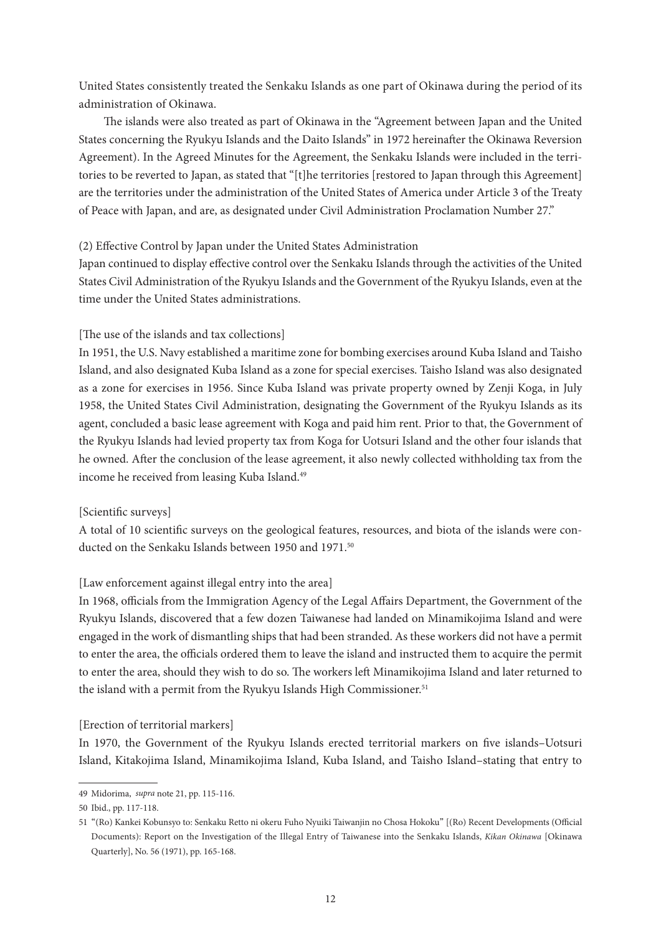United States consistently treated the Senkaku Islands as one part of Okinawa during the period of its administration of Okinawa.

The islands were also treated as part of Okinawa in the "Agreement between Japan and the United States concerning the Ryukyu Islands and the Daito Islands" in 1972 hereinafter the Okinawa Reversion Agreement). In the Agreed Minutes for the Agreement, the Senkaku Islands were included in the territories to be reverted to Japan, as stated that "[t]he territories [restored to Japan through this Agreement] are the territories under the administration of the United States of America under Article 3 of the Treaty of Peace with Japan, and are, as designated under Civil Administration Proclamation Number 27."

# (2) Effective Control by Japan under the United States Administration

Japan continued to display effective control over the Senkaku Islands through the activities of the United States Civil Administration of the Ryukyu Islands and the Government of the Ryukyu Islands, even at the time under the United States administrations.

## [The use of the islands and tax collections]

In 1951, the U.S. Navy established a maritime zone for bombing exercises around Kuba Island and Taisho Island, and also designated Kuba Island as a zone for special exercises. Taisho Island was also designated as a zone for exercises in 1956. Since Kuba Island was private property owned by Zenji Koga, in July 1958, the United States Civil Administration, designating the Government of the Ryukyu Islands as its agent, concluded a basic lease agreement with Koga and paid him rent. Prior to that, the Government of the Ryukyu Islands had levied property tax from Koga for Uotsuri Island and the other four islands that he owned. After the conclusion of the lease agreement, it also newly collected withholding tax from the income he received from leasing Kuba Island.<sup>49</sup>

## [Scientific surveys]

A total of 10 scientific surveys on the geological features, resources, and biota of the islands were conducted on the Senkaku Islands between 1950 and 1971.<sup>50</sup>

# [Law enforcement against illegal entry into the area]

In 1968, officials from the Immigration Agency of the Legal Affairs Department, the Government of the Ryukyu Islands, discovered that a few dozen Taiwanese had landed on Minamikojima Island and were engaged in the work of dismantling ships that had been stranded. As these workers did not have a permit to enter the area, the officials ordered them to leave the island and instructed them to acquire the permit to enter the area, should they wish to do so. The workers left Minamikojima Island and later returned to the island with a permit from the Ryukyu Islands High Commissioner.<sup>51</sup>

## [Erection of territorial markers]

In 1970, the Government of the Ryukyu Islands erected territorial markers on five islands–Uotsuri Island, Kitakojima Island, Minamikojima Island, Kuba Island, and Taisho Island–stating that entry to

<sup>49</sup> Midorima, *supra* note 21, pp. 115-116.

<sup>50</sup> Ibid., pp. 117-118.

<sup>51</sup> "(Ro) Kankei Kobunsyo to: Senkaku Retto ni okeru Fuho Nyuiki Taiwanjin no Chosa Hokoku" [(Ro) Recent Developments (Official Documents): Report on the Investigation of the Illegal Entry of Taiwanese into the Senkaku Islands, *Kikan Okinawa* [Okinawa Quarterly], No. 56 (1971), pp. 165-168.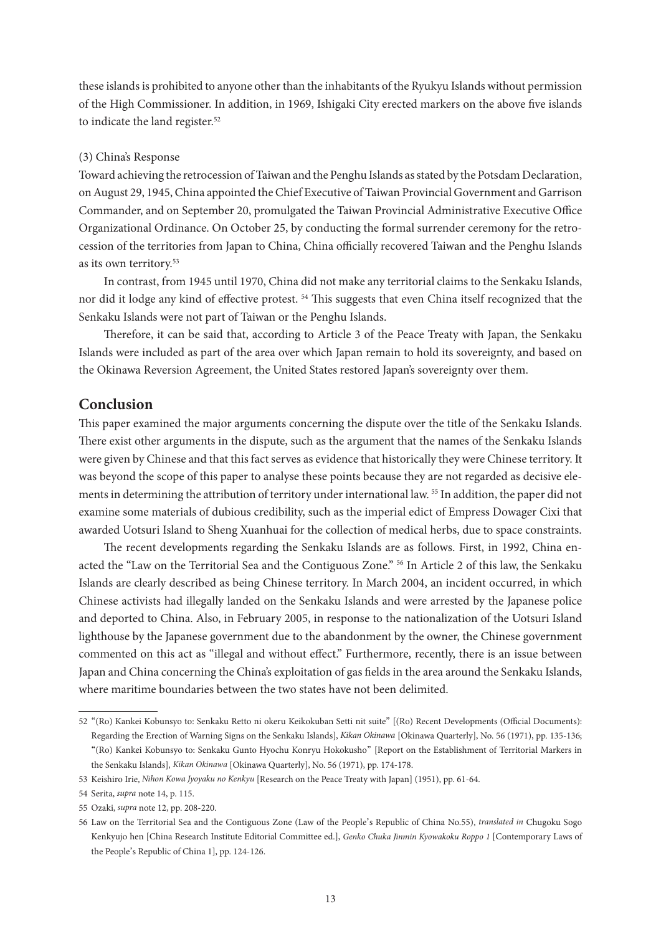these islands is prohibited to anyone other than the inhabitants of the Ryukyu Islands without permission of the High Commissioner. In addition, in 1969, Ishigaki City erected markers on the above five islands to indicate the land register.<sup>52</sup>

## (3) China's Response

Toward achieving the retrocession of Taiwan and the Penghu Islands as stated by the Potsdam Declaration, on August 29, 1945, China appointed the Chief Executive of Taiwan Provincial Government and Garrison Commander, and on September 20, promulgated the Taiwan Provincial Administrative Executive Office Organizational Ordinance. On October 25, by conducting the formal surrender ceremony for the retrocession of the territories from Japan to China, China officially recovered Taiwan and the Penghu Islands as its own territory.53

In contrast, from 1945 until 1970, China did not make any territorial claims to the Senkaku Islands, nor did it lodge any kind of effective protest. 54 This suggests that even China itself recognized that the Senkaku Islands were not part of Taiwan or the Penghu Islands.

Therefore, it can be said that, according to Article 3 of the Peace Treaty with Japan, the Senkaku Islands were included as part of the area over which Japan remain to hold its sovereignty, and based on the Okinawa Reversion Agreement, the United States restored Japan's sovereignty over them.

# **Conclusion**

This paper examined the major arguments concerning the dispute over the title of the Senkaku Islands. There exist other arguments in the dispute, such as the argument that the names of the Senkaku Islands were given by Chinese and that this fact serves as evidence that historically they were Chinese territory. It was beyond the scope of this paper to analyse these points because they are not regarded as decisive elements in determining the attribution of territory under international law. 55 In addition, the paper did not examine some materials of dubious credibility, such as the imperial edict of Empress Dowager Cixi that awarded Uotsuri Island to Sheng Xuanhuai for the collection of medical herbs, due to space constraints.

The recent developments regarding the Senkaku Islands are as follows. First, in 1992, China enacted the "Law on the Territorial Sea and the Contiguous Zone." 56 In Article 2 of this law, the Senkaku Islands are clearly described as being Chinese territory. In March 2004, an incident occurred, in which Chinese activists had illegally landed on the Senkaku Islands and were arrested by the Japanese police and deported to China. Also, in February 2005, in response to the nationalization of the Uotsuri Island lighthouse by the Japanese government due to the abandonment by the owner, the Chinese government commented on this act as "illegal and without effect." Furthermore, recently, there is an issue between Japan and China concerning the China's exploitation of gas fields in the area around the Senkaku Islands, where maritime boundaries between the two states have not been delimited.

<sup>52</sup> "(Ro) Kankei Kobunsyo to: Senkaku Retto ni okeru Keikokuban Setti nit suite" [(Ro) Recent Developments (Official Documents): Regarding the Erection of Warning Signs on the Senkaku Islands], *Kikan Okinawa* [Okinawa Quarterly], No. 56 (1971), pp. 135-136; "(Ro) Kankei Kobunsyo to: Senkaku Gunto Hyochu Konryu Hokokusho" [Report on the Establishment of Territorial Markers in the Senkaku Islands], *Kikan Okinawa* [Okinawa Quarterly], No. 56 (1971), pp. 174-178.

<sup>53</sup> Keishiro Irie, *Nihon Kowa Jyoyaku no Kenkyu* [Research on the Peace Treaty with Japan] (1951), pp. 61-64.

<sup>54</sup> Serita, *supra* note 14, p. 115.

<sup>55</sup> Ozaki, *supra* note 12, pp. 208-220.

<sup>56</sup> Law on the Territorial Sea and the Contiguous Zone (Law of the People's Republic of China No.55), *translated in* Chugoku Sogo Kenkyujo hen [China Research Institute Editorial Committee ed.], *Genko Chuka Jinmin Kyowakoku Roppo 1* [Contemporary Laws of the People's Republic of China 1], pp. 124-126.